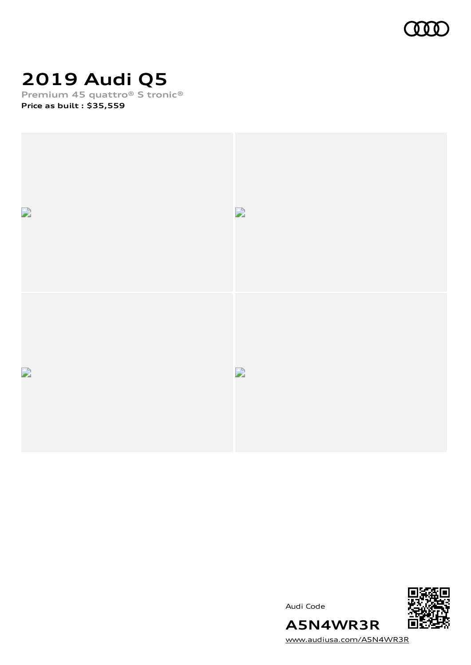

# **2019 Audi Q5**

**Premium 45 quattro® S tronic® Price as built [:](#page-10-0) \$35,559**







[www.audiusa.com/A5N4WR3R](https://www.audiusa.com/A5N4WR3R)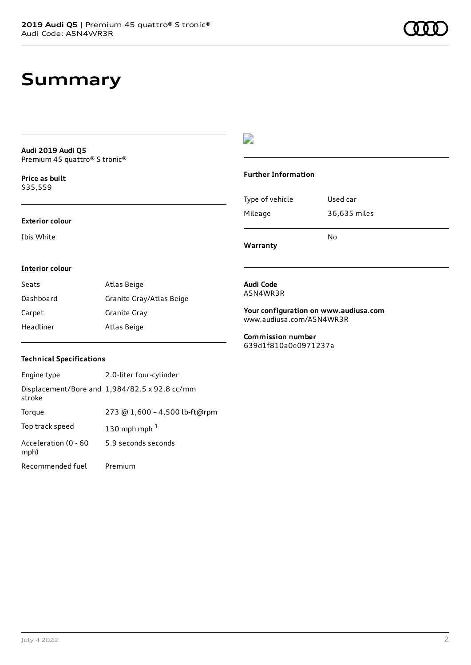### **Summary**

**Audi 2019 Audi Q5** Premium 45 quattro® S tronic®

**Price as buil[t](#page-10-0)** \$35,559

#### **Exterior colour**

Ibis White

### $\overline{\phantom{a}}$

#### **Further Information**

Type of vehicle Used car Mileage 36,635 miles No

**Warranty**

#### **Interior colour**

| Seats     | Atlas Beige              |
|-----------|--------------------------|
| Dashboard | Granite Gray/Atlas Beige |
| Carpet    | Granite Gray             |
| Headliner | Atlas Beige              |

#### **Audi Code** A5N4WR3R

**Your configuration on www.audiusa.com** [www.audiusa.com/A5N4WR3R](https://www.audiusa.com/A5N4WR3R)

**Commission number** 639d1f810a0e0971237a

#### **Technical Specifications**

| Engine type                  | 2.0-liter four-cylinder                       |
|------------------------------|-----------------------------------------------|
| stroke                       | Displacement/Bore and 1,984/82.5 x 92.8 cc/mm |
| Torque                       | 273 @ 1,600 - 4,500 lb-ft@rpm                 |
| Top track speed              | 130 mph mph $1$                               |
| Acceleration (0 - 60<br>mph) | 5.9 seconds seconds                           |
| Recommended fuel             | Premium                                       |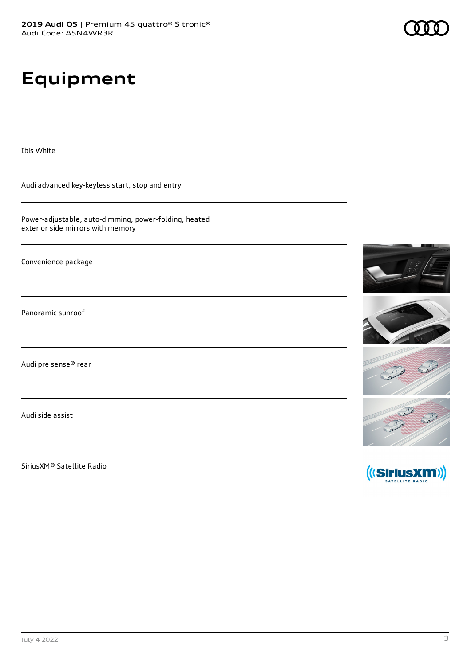# **Equipment**

Ibis White

Audi advanced key-keyless start, stop and entry

Power-adjustable, auto-dimming, power-folding, heated exterior side mirrors with memory

Convenience package

Panoramic sunroof

Audi pre sense® rear

Audi side assist

SiriusXM® Satellite Radio

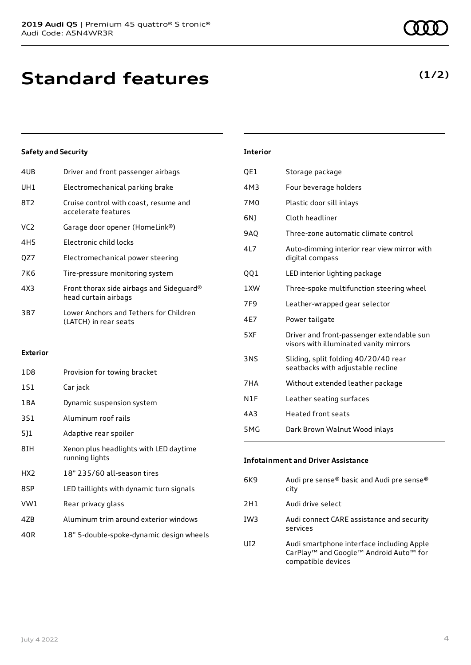| 4UB             | Driver and front passenger airbags                               |
|-----------------|------------------------------------------------------------------|
| UH <sub>1</sub> | Electromechanical parking brake                                  |
| 8T2             | Cruise control with coast, resume and<br>accelerate features     |
| VC <sub>2</sub> | Garage door opener (HomeLink®)                                   |
| 4H5             | Electronic child locks                                           |
| OZ7             | Electromechanical power steering                                 |
| 7K6             | Tire-pressure monitoring system                                  |
| 4X3             | Front thorax side airbags and Sideguard®<br>head curtain airbags |
| 3B7             | Lower Anchors and Tethers for Children<br>(LATCH) in rear seats  |
|                 |                                                                  |

#### **Exterior**

| 1D8             | Provision for towing bracket                             |
|-----------------|----------------------------------------------------------|
| 1S1             | Car jack                                                 |
| 1 B A           | Dynamic suspension system                                |
| 3S1             | Aluminum roof rails                                      |
| 5]1             | Adaptive rear spoiler                                    |
| 8IH             | Xenon plus headlights with LED daytime<br>running lights |
| HX <sub>2</sub> | 18" 235/60 all-season tires                              |
| 8SP             | LED taillights with dynamic turn signals                 |
| VW1             | Rear privacy glass                                       |
| 4ZB             | Aluminum trim around exterior windows                    |
| 40R             | 18" 5-double-spoke-dynamic design wheels                 |

| <b>Interior</b> |                                                                                     |
|-----------------|-------------------------------------------------------------------------------------|
| QE1             | Storage package                                                                     |
| 4M3             | Four beverage holders                                                               |
| 7M0             | Plastic door sill inlays                                                            |
| 6N)             | Cloth headliner                                                                     |
| <b>9AQ</b>      | Three-zone automatic climate control                                                |
| 417             | Auto-dimming interior rear view mirror with<br>digital compass                      |
| 001             | LED interior lighting package                                                       |
| 1XW             | Three-spoke multifunction steering wheel                                            |
| 7F <sub>9</sub> | Leather-wrapped gear selector                                                       |
| 4E7             | Power tailgate                                                                      |
| 5XF             | Driver and front-passenger extendable sun<br>visors with illuminated vanity mirrors |
| <b>3NS</b>      | Sliding, split folding 40/20/40 rear<br>seatbacks with adjustable recline           |
| 7HA             | Without extended leather package                                                    |
| N1F             | Leather seating surfaces                                                            |
| 4A3             | <b>Heated front seats</b>                                                           |
|                 |                                                                                     |

| 5MG | Dark Brown Walnut Wood inlays |
|-----|-------------------------------|
|     |                               |

**Infotainment and Driver Assistance**

| 6K9 | Audi pre sense® basic and Audi pre sense®<br>city                                                                                             |
|-----|-----------------------------------------------------------------------------------------------------------------------------------------------|
| 2H1 | Audi drive select                                                                                                                             |
| IW3 | Audi connect CARE assistance and security<br>services                                                                                         |
| UI2 | Audi smartphone interface including Apple<br>CarPlay <sup>™</sup> and Google <sup>™</sup> Android Auto <sup>™</sup> for<br>compatible devices |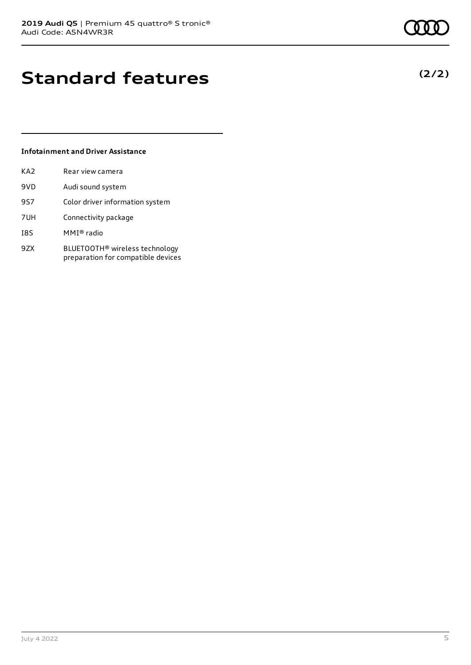## **Standard features**

### **Infotainment and Driver Assistance**

| KA2 | Rear view camera                                                                 |
|-----|----------------------------------------------------------------------------------|
| 9VD | Audi sound system                                                                |
| 9S7 | Color driver information system                                                  |
| 7UH | Connectivity package                                                             |
| I8S | MMI® radio                                                                       |
| 9ZX | BLUETOOTH <sup>®</sup> wireless technology<br>preparation for compatible devices |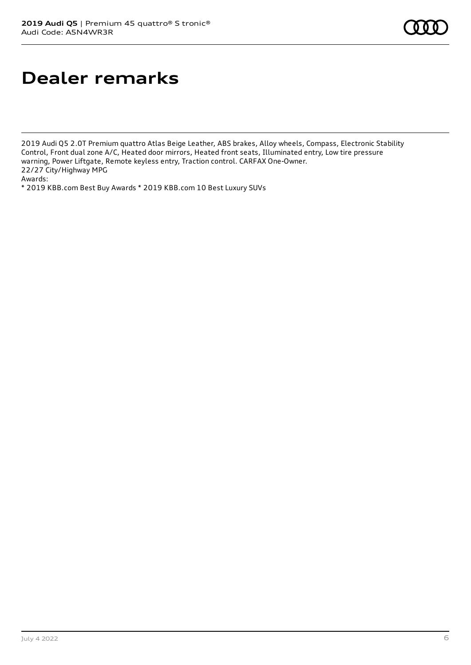## **Dealer remarks**

2019 Audi Q5 2.0T Premium quattro Atlas Beige Leather, ABS brakes, Alloy wheels, Compass, Electronic Stability Control, Front dual zone A/C, Heated door mirrors, Heated front seats, Illuminated entry, Low tire pressure warning, Power Liftgate, Remote keyless entry, Traction control. CARFAX One-Owner. 22/27 City/Highway MPG Awards:

\* 2019 KBB.com Best Buy Awards \* 2019 KBB.com 10 Best Luxury SUVs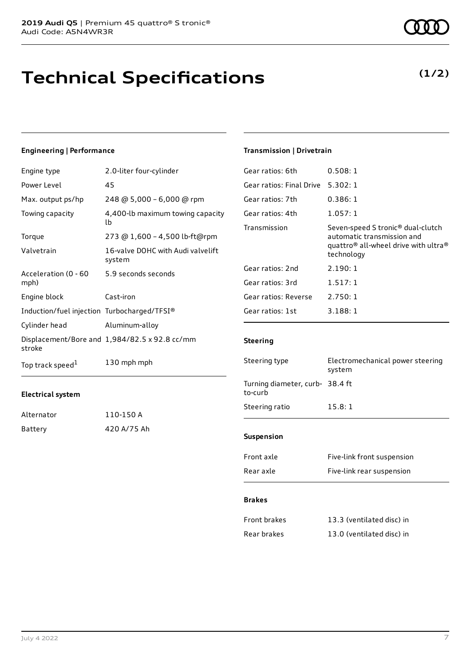## **Technical Specifications**

#### **Engineering | Performance**

| Engine type                                 | 2.0-liter four-cylinder                       |
|---------------------------------------------|-----------------------------------------------|
| Power Level                                 | 45                                            |
| Max. output ps/hp                           | 248 @ 5,000 - 6,000 @ rpm                     |
| Towing capacity                             | 4,400-lb maximum towing capacity<br>lb        |
| Torque                                      | 273 @ 1,600 - 4,500 lb-ft@rpm                 |
| Valvetrain                                  | 16-valve DOHC with Audi valvelift<br>system   |
| Acceleration (0 - 60<br>mph)                | 5.9 seconds seconds                           |
| Engine block                                | Cast-iron                                     |
| Induction/fuel injection Turbocharged/TFSI® |                                               |
| Cylinder head                               | Aluminum-alloy                                |
| stroke                                      | Displacement/Bore and 1,984/82.5 x 92.8 cc/mm |
| Top track speed <sup>1</sup>                | 130 mph mph                                   |

#### **Electrical system**

| Alternator | 110-150 A   |
|------------|-------------|
| Battery    | 420 A/75 Ah |

### **Transmission | Drivetrain**

| Gear ratios: 6th         | 0.508:1                                                                                                                                                   |
|--------------------------|-----------------------------------------------------------------------------------------------------------------------------------------------------------|
| Gear ratios: Final Drive | 5.302:1                                                                                                                                                   |
| Gear ratios: 7th         | 0.386:1                                                                                                                                                   |
| Gear ratios: 4th         | 1.057:1                                                                                                                                                   |
| Transmission             | Seven-speed S tronic <sup>®</sup> dual-clutch<br>automatic transmission and<br>quattro <sup>®</sup> all-wheel drive with ultra <sup>®</sup><br>technology |
| Gear ratios: 2nd         | 2.190:1                                                                                                                                                   |
| Gear ratios: 3rd         | 1.517:1                                                                                                                                                   |
| Gear ratios: Reverse     | 2.750:1                                                                                                                                                   |
| Gear ratios: 1st         | 3.188:1                                                                                                                                                   |
|                          |                                                                                                                                                           |

#### **Steering**

| Steering type                              | Electromechanical power steering<br>system |
|--------------------------------------------|--------------------------------------------|
| Turning diameter, curb- 38.4 ft<br>to-curb |                                            |
| Steering ratio                             | 15.8:1                                     |
|                                            |                                            |
| <b>Suspension</b>                          |                                            |
| Front axle                                 | Five-link front suspension                 |
| Rear axle                                  | Five-link rear suspension                  |

#### **Brakes**

| Front brakes | 13.3 (ventilated disc) in |
|--------------|---------------------------|
| Rear brakes  | 13.0 (ventilated disc) in |

### **(1/2)**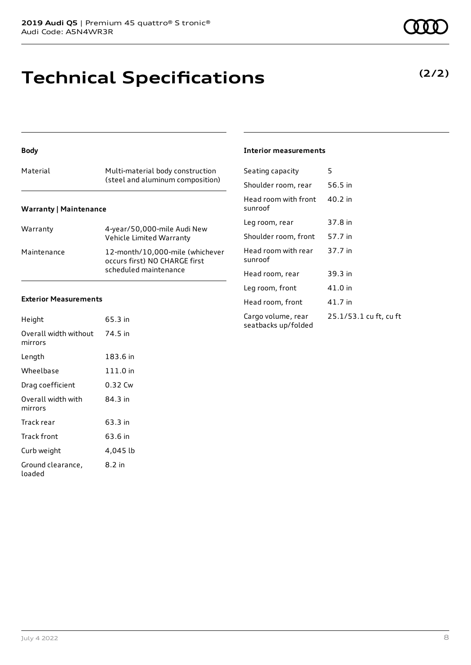## **Technical Specifications**

#### **Body**

| Material                      | Multi-material body construction<br>(steel and aluminum composition) |
|-------------------------------|----------------------------------------------------------------------|
| <b>Warranty   Maintenance</b> |                                                                      |

| Warranty    | 4-year/50,000-mile Audi New<br>Vehicle Limited Warranty                                   |
|-------------|-------------------------------------------------------------------------------------------|
| Maintenance | 12-month/10.000-mile (whichever<br>occurs first) NO CHARGE first<br>scheduled maintenance |

#### **Exterior Measurements**

| Height                           | 65.3 in  |
|----------------------------------|----------|
| Overall width without<br>mirrors | 74.5 in  |
| Length                           | 183.6 in |
| Wheelbase                        | 111.0 in |
| Drag coefficient                 | 0.32 Cw  |
| Overall width with<br>mirrors    | 84.3 in  |
| Track rear                       | 63.3 in  |
| Track front                      | 63.6 in  |
| Curb weight                      | 4,045 lb |
| Ground clearance,<br>loaded      | 8.2 in   |

#### **Interior measurements**

| Seating capacity                          | 5                      |
|-------------------------------------------|------------------------|
| Shoulder room, rear                       | 56.5 in                |
| Head room with front<br>sunroof           | 40.2 in                |
| Leg room, rear                            | 37.8 in                |
| Shoulder room, front                      | 57.7 in                |
| Head room with rear<br>sunroof            | 37.7 in                |
| Head room, rear                           | 39.3 in                |
| Leg room, front                           | 41.0 in                |
| Head room, front                          | 41.7 in                |
| Cargo volume, rear<br>seatbacks up/folded | 25.1/53.1 cu ft, cu ft |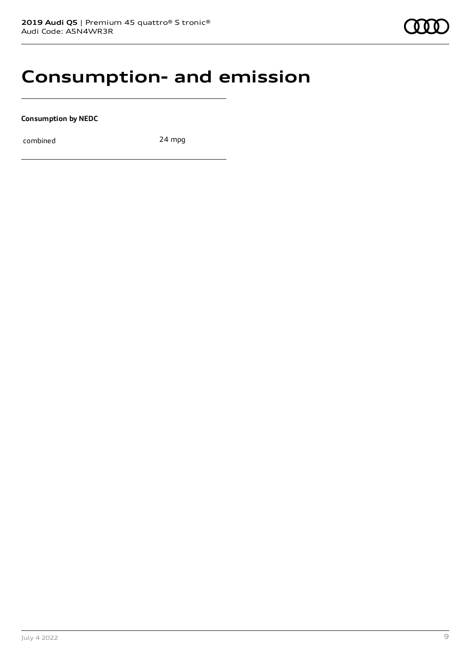### **Consumption- and emission**

**Consumption by NEDC**

combined 24 mpg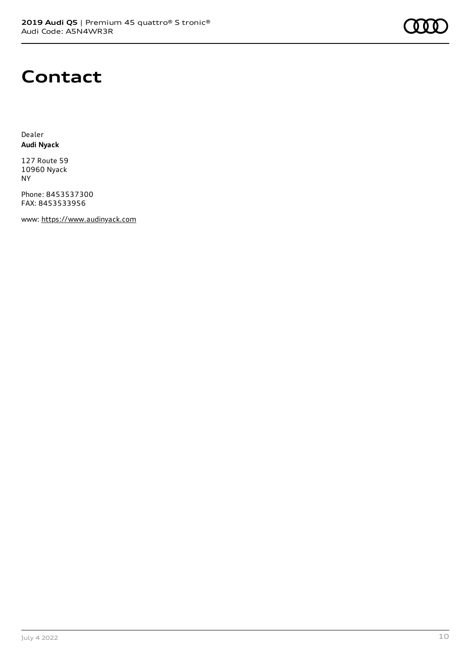

### **Contact**

Dealer **Audi Nyack**

127 Route 59 10960 Nyack NY

Phone: 8453537300 FAX: 8453533956

www: [https://www.audinyack.com](https://www.audinyack.com/)